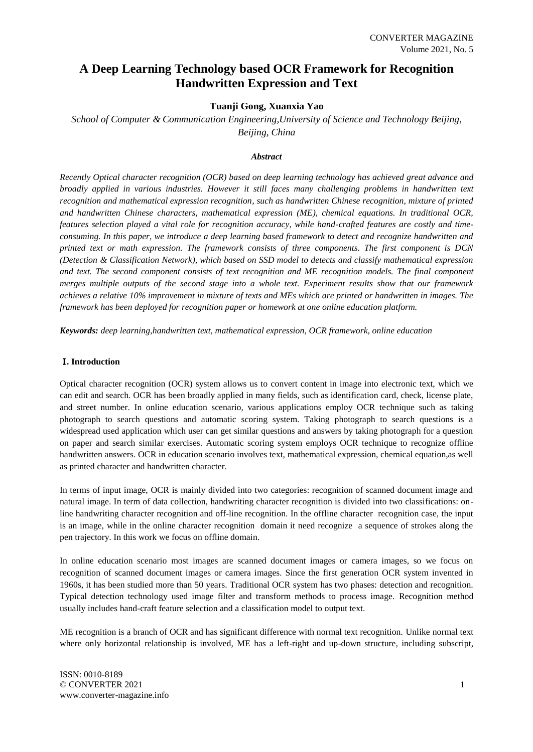# **A Deep Learning Technology based OCR Framework for Recognition Handwritten Expression and Text**

# **Tuanji Gong, Xuanxia Yao**

*School of Computer & Communication Engineering,University of Science and Technology Beijing, Beijing, China*

# *Abstract*

*Recently Optical character recognition (OCR) based on deep learning technology has achieved great advance and broadly applied in various industries. However it still faces many challenging problems in handwritten text recognition and mathematical expression recognition, such as handwritten Chinese recognition, mixture of printed and handwritten Chinese characters, mathematical expression (ME), chemical equations. In traditional OCR, features selection played a vital role for recognition accuracy, while hand-crafted features are costly and timeconsuming. In this paper, we introduce a deep learning based framework to detect and recognize handwritten and printed text or math expression. The framework consists of three components. The first component is DCN (Detection & Classification Network), which based on SSD model to detects and classify mathematical expression*  and text. The second component consists of text recognition and ME recognition models. The final component *merges multiple outputs of the second stage into a whole text. Experiment results show that our framework achieves a relative 10% improvement in mixture of texts and MEs which are printed or handwritten in images. The framework has been deployed for recognition paper or homework at one online education platform.*

*Keywords: deep learning,handwritten text, mathematical expression, OCR framework, online education*

# Ⅰ**. Introduction**

Optical character recognition (OCR) system allows us to convert content in image into electronic text, which we can edit and search. OCR has been broadly applied in many fields, such as identification card, check, license plate, and street number. In online education scenario, various applications employ OCR technique such as taking photograph to search questions and automatic scoring system. Taking photograph to search questions is a widespread used application which user can get similar questions and answers by taking photograph for a question on paper and search similar exercises. Automatic scoring system employs OCR technique to recognize offline handwritten answers. OCR in education scenario involves text, mathematical expression, chemical equation,as well as printed character and handwritten character.

In terms of input image, OCR is mainly divided into two categories: recognition of scanned document image and natural image. In term of data collection, handwriting character recognition is divided into two classifications: online handwriting character recognition and off-line recognition. In the offline character recognition case, the input is an image, while in the online character recognition domain it need recognize a sequence of strokes along the pen trajectory. In this work we focus on offline domain.

In online education scenario most images are scanned document images or camera images, so we focus on recognition of scanned document images or camera images. Since the first generation OCR system invented in 1960s, it has been studied more than 50 years. Traditional OCR system has two phases: detection and recognition. Typical detection technology used image filter and transform methods to process image. Recognition method usually includes hand-craft feature selection and a classification model to output text.

ME recognition is a branch of OCR and has significant difference with normal text recognition. Unlike normal text where only horizontal relationship is involved, ME has a left-right and up-down structure, including subscript,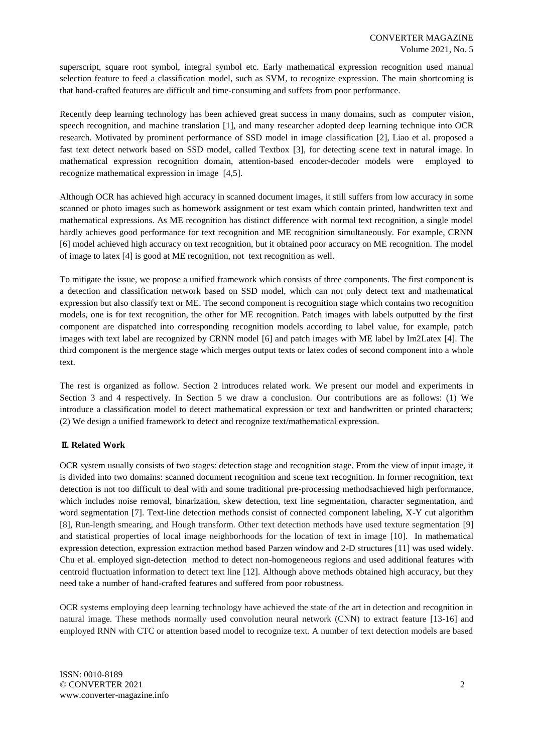superscript, square root symbol, integral symbol etc. Early mathematical expression recognition used manual selection feature to feed a classification model, such as SVM, to recognize expression. The main shortcoming is that hand-crafted features are difficult and time-consuming and suffers from poor performance.

Recently deep learning technology has been achieved great success in many domains, such as computer vision, speech recognition, and machine translation [\[1\]](#page-7-0), and many researcher adopted deep learning technique into OCR research. Motivated by prominent performance of SSD model in image classification [\[2\]](#page-7-1), Liao et al. proposed a fast text detect network based on SSD model, called Textbox [\[3\]](#page-7-2), for detecting scene text in natural image. In mathematical expression recognition domain, attention-based encoder-decoder models were employed to recognize mathematical expression in image [\[4](#page-7-3)[,5\]](#page-7-4).

Although OCR has achieved high accuracy in scanned document images, it still suffers from low accuracy in some scanned or photo images such as homework assignment or test exam which contain printed, handwritten text and mathematical expressions. As ME recognition has distinct difference with normal text recognition, a single model hardly achieves good performance for text recognition and ME recognition simultaneously. For example, CRNN [\[6\]](#page-8-0) model achieved high accuracy on text recognition, but it obtained poor accuracy on ME recognition. The model of image to latex [\[4\]](#page-7-3) is good at ME recognition, not text recognition as well.

To mitigate the issue, we propose a unified framework which consists of three components. The first component is a detection and classification network based on SSD model, which can not only detect text and mathematical expression but also classify text or ME. The second component is recognition stage which contains two recognition models, one is for text recognition, the other for ME recognition. Patch images with labels outputted by the first component are dispatched into corresponding recognition models according to label value, for example, patch images with text label are recognized by CRNN model [\[6\]](#page-8-0) and patch images with ME label by Im2Latex [\[4\]](#page-7-3). The third component is the mergence stage which merges output texts or latex codes of second component into a whole text.

The rest is organized as follow. Section 2 introduces related work. We present our model and experiments in Section 3 and 4 respectively. In Section 5 we draw a conclusion. Our contributions are as follows: (1) We introduce a classification model to detect mathematical expression or text and handwritten or printed characters; (2) We design a unified framework to detect and recognize text/mathematical expression.

# Ⅱ**. Related Work**

OCR system usually consists of two stages: detection stage and recognition stage. From the view of input image, it is divided into two domains: scanned document recognition and scene text recognition. In former recognition, text detection is not too difficult to deal with and some traditional pre-processing methodsachieved high performance, which includes noise removal, binarization, skew detection, text line segmentation, character segmentation, and word segmentation [\[7\]](#page-8-1). Text-line detection methods consist of connected component labeling, X-Y cut algorithm [\[8\]](#page-8-2), Run-length smearing, and Hough transform. Other text detection methods have used texture segmentation [\[9\]](#page-8-3) and statistical properties of local image neighborhoods for the location of text in image [\[10\]](#page-8-4). In mathematical expression detection, expression extraction method based Parzen window and 2-D structures [\[11\]](#page-8-5) was used widely. Chu et al. employed sign-detection method to detect non-homogeneous regions and used additional features with centroid fluctuation information to detect text line [\[12\]](#page-8-6). Although above methods obtained high accuracy, but they need take a number of hand-crafted features and suffered from poor robustness.

OCR systems employing deep learning technology have achieved the state of the art in detection and recognition in natural image. These methods normally used convolution neural network (CNN) to extract feature [\[13-16\]](#page-8-7) and employed RNN with CTC or attention based model to recognize text. A number of text detection models are based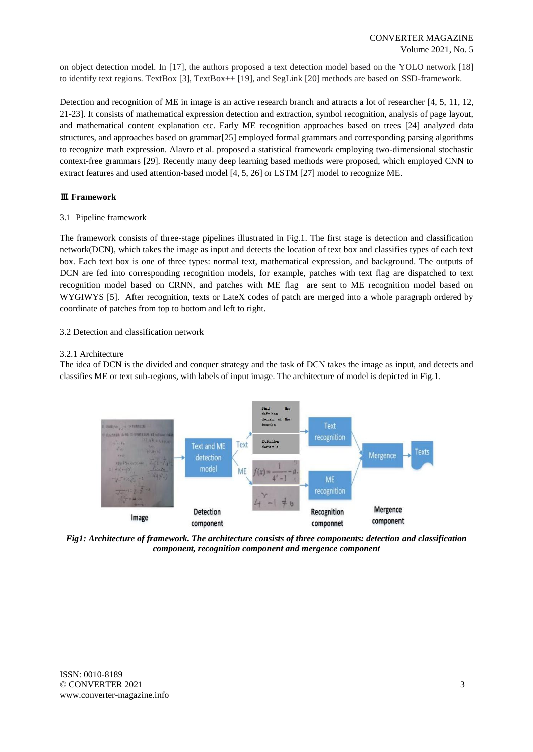on object detection model. In [\[17\]](#page-8-8), the authors proposed a text detection model based on the YOLO network [\[18\]](#page-8-9) to identify text regions. TextBox [\[3\]](#page-7-2), TextBox++ [\[19\]](#page-8-10), and SegLink [\[20\]](#page-8-11) methods are based on SSD-framework.

Detection and recognition of ME in image is an active research branch and attracts a lot of researcher [\[4,](#page-7-3) [5,](#page-7-4) [11,](#page-8-5) [12,](#page-8-6) [21-23\]](#page-8-12). It consists of mathematical expression detection and extraction, symbol recognition, analysis of page layout, and mathematical content explanation etc. Early ME recognition approaches based on trees [\[24\]](#page-8-13) analyzed data structures, and approaches based on grammar[\[25\]](#page-8-14) employed formal grammars and corresponding parsing algorithms to recognize math expression. Alavro et al. proposed a statistical framework employing two-dimensional stochastic context-free grammars [29]. Recently many deep learning based methods were proposed, which employed CNN to extract features and used attention-based model [\[4,](#page-7-3) [5,](#page-7-4) [26\]](#page-8-15) or LSTM [\[27\]](#page-8-16) model to recognize ME.

# Ⅲ**. Framework**

3.1 Pipeline framework

The framework consists of three-stage pipelines illustrated in Fig.1. The first stage is detection and classification network(DCN), which takes the image as input and detects the location of text box and classifies types of each text box. Each text box is one of three types: normal text, mathematical expression, and background. The outputs of DCN are fed into corresponding recognition models, for example, patches with text flag are dispatched to text recognition model based on CRNN, and patches with ME flag are sent to ME recognition model based on WYGIWYS [\[5\]](#page-7-4). After recognition, texts or LateX codes of patch are merged into a whole paragraph ordered by coordinate of patches from top to bottom and left to right.

3.2 Detection and classification network

# 3.2.1 Architecture

The idea of DCN is the divided and conquer strategy and the task of DCN takes the image as input, and detects and classifies ME or text sub-regions, with labels of input image. The architecture of model is depicted in Fig.1.



*Fig1: Architecture of framework. The architecture consists of three components: detection and classification component, recognition component and mergence component*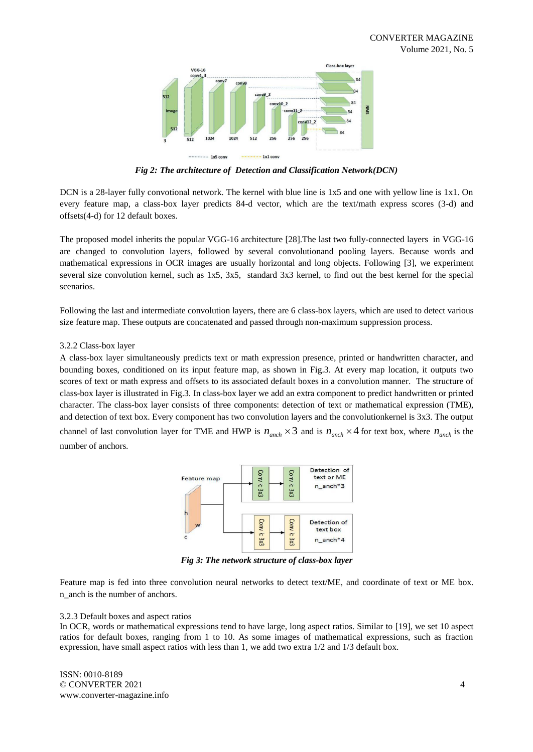

*Fig 2: The architecture of Detection and Classification Network(DCN)*

DCN is a 28-layer fully convotional network. The kernel with blue line is 1x5 and one with yellow line is 1x1. On every feature map, a class-box layer predicts 84-d vector, which are the text/math express scores (3-d) and offsets(4-d) for 12 default boxes.

The proposed model inherits the popular VGG-16 architecture [\[28\]](#page-8-17).The last two fully-connected layers in VGG-16 are changed to convolution layers, followed by several convolutionand pooling layers. Because words and mathematical expressions in OCR images are usually horizontal and long objects. Following [\[3\]](#page-7-2), we experiment several size convolution kernel, such as 1x5, 3x5, standard 3x3 kernel, to find out the best kernel for the special scenarios.

Following the last and intermediate convolution layers, there are 6 class-box layers, which are used to detect various size feature map. These outputs are concatenated and passed through non-maximum suppression process.

# 3.2.2 Class-box layer

A class-box layer simultaneously predicts text or math expression presence, printed or handwritten character, and bounding boxes, conditioned on its input feature map, as shown in Fig.3. At every map location, it outputs two scores of text or math express and offsets to its associated default boxes in a convolution manner. The structure of class-box layer is illustrated in Fig.3. In class-box layer we add an extra component to predict handwritten or printed character. The class-box layer consists of three components: detection of text or mathematical expression (TME), and detection of text box. Every component has two convolution layers and the convolutionkernel is 3x3. The output channel of last convolution layer for TME and HWP is  $n_{\text{anch}} \times 3$  and is  $n_{\text{anch}} \times 4$  for text box, where  $n_{\text{anch}}$  is the number of anchors.



*Fig 3: The network structure of class-box layer*

Feature map is fed into three convolution neural networks to detect text/ME, and coordinate of text or ME box. n\_anch is the number of anchors.

# 3.2.3 Default boxes and aspect ratios

In OCR, words or mathematical expressions tend to have large, long aspect ratios. Similar to [\[19\]](#page-8-10), we set 10 aspect ratios for default boxes, ranging from 1 to 10. As some images of mathematical expressions, such as fraction expression, have small aspect ratios with less than 1, we add two extra 1/2 and 1/3 default box.

ISSN: 0010-8189 © CONVERTER 2021 www.converter-magazine.info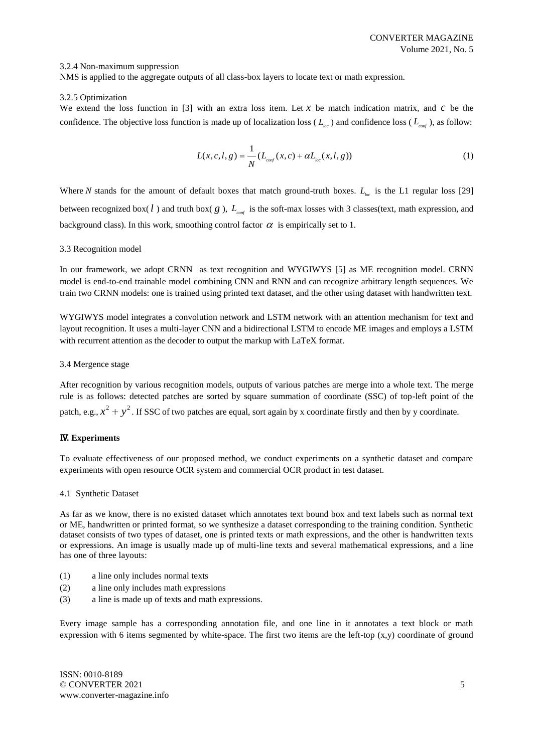# 3.2.4 Non-maximum suppression

NMS is applied to the aggregate outputs of all class-box layers to locate text or math expression.

#### 3.2.5 Optimization

We extend the loss function in [\[3\]](#page-7-2) with an extra loss item. Let  $x$  be match indication matrix, and  $c$  be the confidence. The objective loss function is made up of localization loss ( $L_{loc}$ ) and confidence loss ( $L_{conf}$ ), as follow:

$$
L(x, c, l, g) = \frac{1}{N} (L_{\text{conf}}(x, c) + \alpha L_{\text{loc}}(x, l, g))
$$
 (1)

Where N stands for the amount of default boxes that match ground-truth boxes.  $L_{\text{loc}}$  is the L1 regular loss [\[29\]](#page-9-0) between recognized box( $l$ ) and truth box( $g$ ),  $L_{\text{conf}}$  is the soft-max losses with 3 classes(text, math expression, and background class). In this work, smoothing control factor  $\alpha$  is empirically set to 1.

#### 3.3 Recognition model

In our framework, we adopt CRNN as text recognition and WYGIWYS [\[5\]](#page-7-4) as ME recognition model. CRNN model is end-to-end trainable model combining CNN and RNN and can recognize arbitrary length sequences. We train two CRNN models: one is trained using printed text dataset, and the other using dataset with handwritten text.

WYGIWYS model integrates a convolution network and LSTM network with an attention mechanism for text and layout recognition. It uses a multi-layer CNN and a bidirectional LSTM to encode ME images and employs a LSTM with recurrent attention as the decoder to output the markup with LaTeX format.

#### 3.4 Mergence stage

After recognition by various recognition models, outputs of various patches are merge into a whole text. The merge rule is as follows: detected patches are sorted by square summation of coordinate (SSC) of top-left point of the patch, e.g.,  $x^2 + y^2$ . If SSC of two patches are equal, sort again by x coordinate firstly and then by y coordinate.

# Ⅳ**. Experiments**

To evaluate effectiveness of our proposed method, we conduct experiments on a synthetic dataset and compare experiments with open resource OCR system and commercial OCR product in test dataset.

#### 4.1 Synthetic Dataset

As far as we know, there is no existed dataset which annotates text bound box and text labels such as normal text or ME, handwritten or printed format, so we synthesize a dataset corresponding to the training condition. Synthetic dataset consists of two types of dataset, one is printed texts or math expressions, and the other is handwritten texts or expressions. An image is usually made up of multi-line texts and several mathematical expressions, and a line has one of three layouts:

- (1) a line only includes normal texts
- (2) a line only includes math expressions
- (3) a line is made up of texts and math expressions.

Every image sample has a corresponding annotation file, and one line in it annotates a text block or math expression with 6 items segmented by white-space. The first two items are the left-top  $(x,y)$  coordinate of ground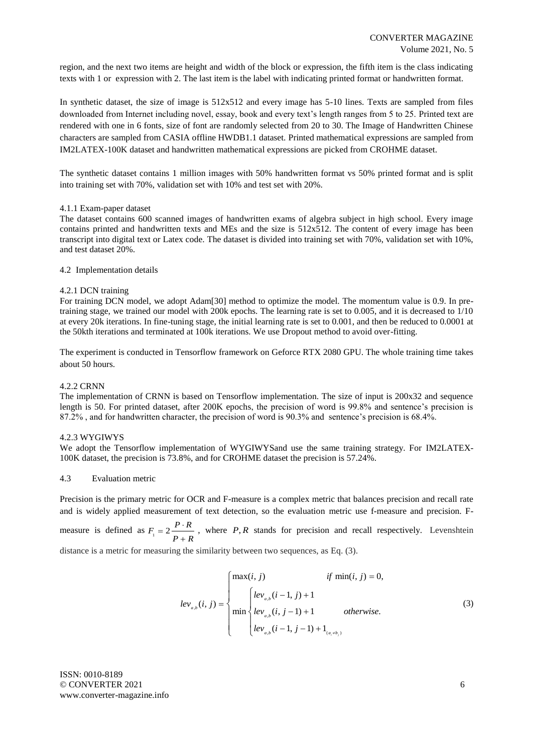region, and the next two items are height and width of the block or expression, the fifth item is the class indicating texts with 1 or expression with 2. The last item is the label with indicating printed format or handwritten format.

In synthetic dataset, the size of image is 512x512 and every image has 5-10 lines. Texts are sampled from files downloaded from Internet including novel, essay, book and every text's length ranges from 5 to 25. Printed text are rendered with one in 6 fonts, size of font are randomly selected from 20 to 30. The Image of Handwritten Chinese characters are sampled from CASIA offline HWDB1.1 dataset. Printed mathematical expressions are sampled from IM2LATEX-100K dataset and handwritten mathematical expressions are picked from CROHME dataset.

The synthetic dataset contains 1 million images with 50% handwritten format vs 50% printed format and is split into training set with 70%, validation set with 10% and test set with 20%.

# 4.1.1 Exam-paper dataset

The dataset contains 600 scanned images of handwritten exams of algebra subject in high school. Every image contains printed and handwritten texts and MEs and the size is 512x512. The content of every image has been transcript into digital text or Latex code. The dataset is divided into training set with 70%, validation set with 10%, and test dataset 20%.

#### 4.2 Implementation details

#### 4.2.1 DCN training

For training DCN model, we adopt Adam[\[30\]](#page-9-1) method to optimize the model. The momentum value is 0.9. In pretraining stage, we trained our model with 200k epochs. The learning rate is set to 0.005, and it is decreased to 1/10 at every 20k iterations. In fine-tuning stage, the initial learning rate is set to 0.001, and then be reduced to 0.0001 at the 50kth iterations and terminated at 100k iterations. We use Dropout method to avoid over-fitting.

The experiment is conducted in Tensorflow framework on Geforce RTX 2080 GPU. The whole training time takes about 50 hours.

# 4.2.2 CRNN

The implementation of CRNN is based on Tensorflow implementation. The size of input is 200x32 and sequence length is 50. For printed dataset, after 200K epochs, the precision of word is 99.8% and sentence's precision is 87.2% , and for handwritten character, the precision of word is 90.3% and sentence's precision is 68.4%.

# 4.2.3 WYGIWYS

We adopt the Tensorflow implementation of WYGIWYSand use the same training strategy. For IM2LATEX-100K dataset, the precision is 73.8%, and for CROHME dataset the precision is 57.24%.

#### 4.3 Evaluation metric

Precision is the primary metric for OCR and F-measure is a complex metric that balances precision and recall rate and is widely applied measurement of text detection, so the evaluation metric use f-measure and precision. F-

measure is defined as  $F_1 = 2 \frac{P \cdot R}{P}$  $P + R$  $=2\frac{P\cdot}{P}$  $^{+}$ , where P, R stands for precision and recall respectively. Levenshtein

distance is a metric for measuring the similarity between two sequences, as Eq. (3).

$$
lev_{a,b}(i, j) = \begin{cases} \max(i, j) & \text{if } \min(i, j) = 0, \\ lev_{a,b}(i - 1, j) + 1 & \text{otherwise.} \end{cases}
$$
(3)  

$$
lev_{a,b}(i, j - 1) + 1 & \text{otherwise.}
$$

ISSN: 0010-8189 © CONVERTER 2021 www.converter-magazine.info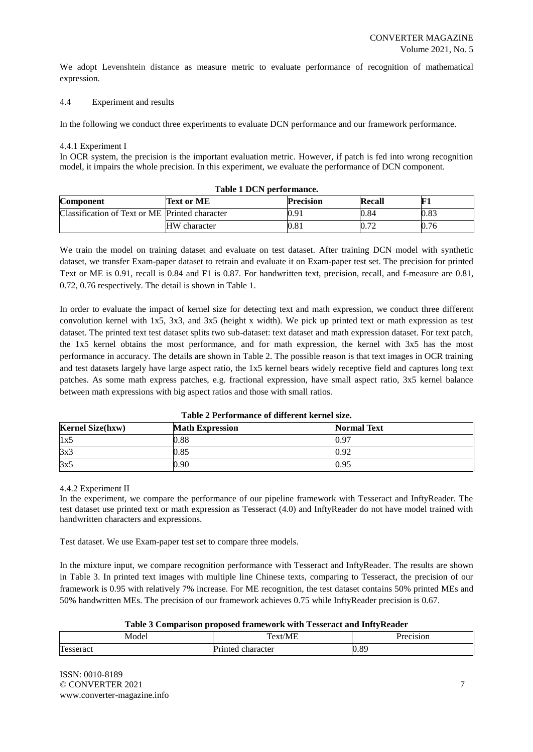We adopt Levenshtein distance as measure metric to evaluate performance of recognition of mathematical expression.

#### 4.4 Experiment and results

In the following we conduct three experiments to evaluate DCN performance and our framework performance.

#### 4.4.1 Experiment I

In OCR system, the precision is the important evaluation metric. However, if patch is fed into wrong recognition model, it impairs the whole precision. In this experiment, we evaluate the performance of DCN component.

| Table 1 DCN performance.                       |                   |                  |        |           |  |
|------------------------------------------------|-------------------|------------------|--------|-----------|--|
| <b>Component</b>                               | <b>Text or ME</b> | <b>Precision</b> | Recall | ${\bf F}$ |  |
| Classification of Text or ME Printed character |                   | 0.91             | 0.84   | 0.83      |  |
|                                                | HW character      | 0.81             | 0.72   | 0.76      |  |

# We train the model on training dataset and evaluate on test dataset. After training DCN model with synthetic dataset, we transfer Exam-paper dataset to retrain and evaluate it on Exam-paper test set. The precision for printed Text or ME is 0.91, recall is 0.84 and F1 is 0.87. For handwritten text, precision, recall, and f-measure are 0.81, 0.72, 0.76 respectively. The detail is shown in Table 1.

In order to evaluate the impact of kernel size for detecting text and math expression, we conduct three different convolution kernel with 1x5, 3x3, and 3x5 (height x width). We pick up printed text or math expression as test dataset. The printed text test dataset splits two sub-dataset: text dataset and math expression dataset. For text patch, the 1x5 kernel obtains the most performance, and for math expression, the kernel with 3x5 has the most performance in accuracy. The details are shown in Table 2. The possible reason is that text images in OCR training and test datasets largely have large aspect ratio, the 1x5 kernel bears widely receptive field and captures long text patches. As some math express patches, e.g. fractional expression, have small aspect ratio, 3x5 kernel balance between math expressions with big aspect ratios and those with small ratios.

| Table 2 T errormance of unit entret nei size. |                        |                    |  |  |
|-----------------------------------------------|------------------------|--------------------|--|--|
| <b>Kernel Size(hxw)</b>                       | <b>Math Expression</b> | <b>Normal Text</b> |  |  |
| 1x5                                           | 0.88                   | 0.97               |  |  |
| 3x3                                           | 0.85                   | 0.92               |  |  |
| 3x5                                           | 0.90                   | 0.95               |  |  |

# **Table 2 Performance of different kernel size.**

#### 4.4.2 Experiment II

In the experiment, we compare the performance of our pipeline framework with Tesseract and InftyReader. The test dataset use printed text or math expression as Tesseract (4.0) and InftyReader do not have model trained with handwritten characters and expressions.

Test dataset. We use Exam-paper test set to compare three models.

In the mixture input, we compare recognition performance with Tesseract and InftyReader. The results are shown in Table 3. In printed text images with multiple line Chinese texts, comparing to Tesseract, the precision of our framework is 0.95 with relatively 7% increase. For ME recognition, the test dataset contains 50% printed MEs and 50% handwritten MEs. The precision of our framework achieves 0.75 while InftyReader precision is 0.67.

| Table 3 Comparison proposed framework with Tesseract and InftyReader |                   |           |  |
|----------------------------------------------------------------------|-------------------|-----------|--|
| Model                                                                | Text/ME           | Precision |  |
| Tesseract                                                            | Printed character | 0.89      |  |

#### **Table 3 Comparison proposed framework with Tesseract and InftyReader**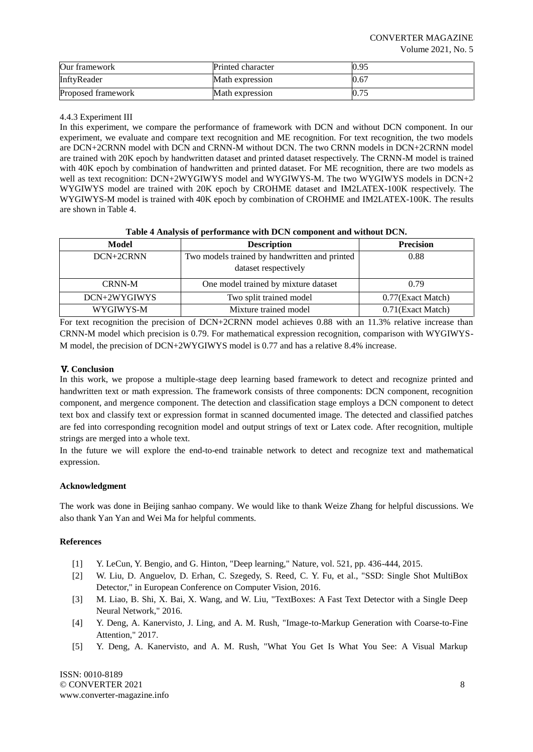| Our framework      | <b>Printed character</b> | 0.95 |
|--------------------|--------------------------|------|
| InftyReader        | Math expression          | 0.67 |
| Proposed framework | Math expression          |      |

# 4.4.3 Experiment III

In this experiment, we compare the performance of framework with DCN and without DCN component. In our experiment, we evaluate and compare text recognition and ME recognition. For text recognition, the two models are DCN+2CRNN model with DCN and CRNN-M without DCN. The two CRNN models in DCN+2CRNN model are trained with 20K epoch by handwritten dataset and printed dataset respectively. The CRNN-M model is trained with 40K epoch by combination of handwritten and printed dataset. For ME recognition, there are two models as well as text recognition: DCN+2WYGIWYS model and WYGIWYS-M. The two WYGIWYS models in DCN+2 WYGIWYS model are trained with 20K epoch by CROHME dataset and IM2LATEX-100K respectively. The WYGIWYS-M model is trained with 40K epoch by combination of CROHME and IM2LATEX-100K. The results are shown in Table 4.

# **Table 4 Analysis of performance with DCN component and without DCN.**

| Model         | <b>Description</b>                            | <b>Precision</b>   |
|---------------|-----------------------------------------------|--------------------|
| DCN+2CRNN     | Two models trained by handwritten and printed | 0.88               |
|               | dataset respectively                          |                    |
| <b>CRNN-M</b> | One model trained by mixture dataset          | 0.79               |
| DCN+2WYGIWYS  | Two split trained model                       | 0.77(Exact Match)  |
| WYGIWYS-M     | Mixture trained model                         | 0.71 (Exact Match) |

For text recognition the precision of DCN+2CRNN model achieves 0.88 with an 11.3% relative increase than CRNN-M model which precision is 0.79. For mathematical expression recognition, comparison with WYGIWYS-M model, the precision of DCN+2WYGIWYS model is 0.77 and has a relative 8.4% increase.

# Ⅴ**. Conclusion**

In this work, we propose a multiple-stage deep learning based framework to detect and recognize printed and handwritten text or math expression. The framework consists of three components: DCN component, recognition component, and mergence component. The detection and classification stage employs a DCN component to detect text box and classify text or expression format in scanned documented image. The detected and classified patches are fed into corresponding recognition model and output strings of text or Latex code. After recognition, multiple strings are merged into a whole text.

In the future we will explore the end-to-end trainable network to detect and recognize text and mathematical expression.

# **Acknowledgment**

The work was done in Beijing sanhao company. We would like to thank Weize Zhang for helpful discussions. We also thank Yan Yan and Wei Ma for helpful comments.

# **References**

- <span id="page-7-0"></span>[1] Y. LeCun, Y. Bengio, and G. Hinton, "Deep learning," Nature, vol. 521, pp. 436-444, 2015.
- <span id="page-7-1"></span>[2] W. Liu, D. Anguelov, D. Erhan, C. Szegedy, S. Reed, C. Y. Fu, et al., "SSD: Single Shot MultiBox Detector," in European Conference on Computer Vision, 2016.
- <span id="page-7-2"></span>[3] M. Liao, B. Shi, X. Bai, X. Wang, and W. Liu, "TextBoxes: A Fast Text Detector with a Single Deep Neural Network," 2016.
- <span id="page-7-3"></span>[4] Y. Deng, A. Kanervisto, J. Ling, and A. M. Rush, "Image-to-Markup Generation with Coarse-to-Fine Attention," 2017.
- <span id="page-7-4"></span>[5] Y. Deng, A. Kanervisto, and A. M. Rush, "What You Get Is What You See: A Visual Markup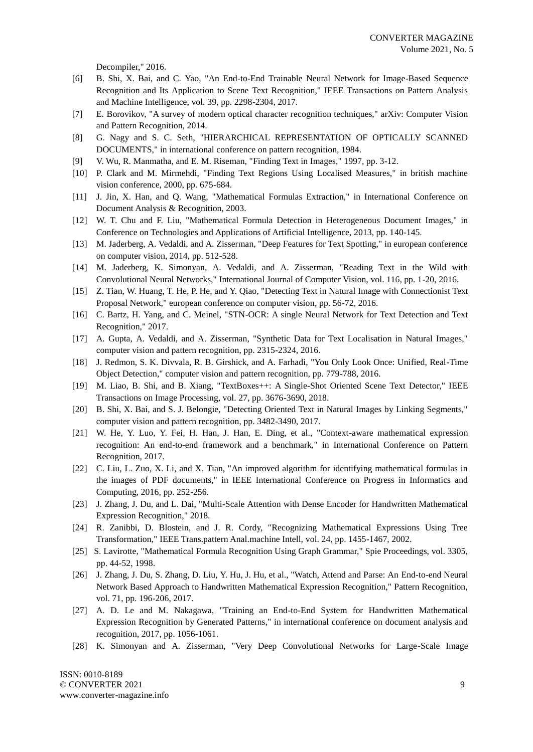Decompiler," 2016.

- <span id="page-8-0"></span>[6] B. Shi, X. Bai, and C. Yao, "An End-to-End Trainable Neural Network for Image-Based Sequence Recognition and Its Application to Scene Text Recognition," IEEE Transactions on Pattern Analysis and Machine Intelligence, vol. 39, pp. 2298-2304, 2017.
- <span id="page-8-1"></span>[7] E. Borovikov, "A survey of modern optical character recognition techniques," arXiv: Computer Vision and Pattern Recognition, 2014.
- <span id="page-8-2"></span>[8] G. Nagy and S. C. Seth, "HIERARCHICAL REPRESENTATION OF OPTICALLY SCANNED DOCUMENTS," in international conference on pattern recognition, 1984.
- <span id="page-8-3"></span>[9] V. Wu, R. Manmatha, and E. M. Riseman, "Finding Text in Images," 1997, pp. 3-12.
- <span id="page-8-4"></span>[10] P. Clark and M. Mirmehdi, "Finding Text Regions Using Localised Measures," in british machine vision conference, 2000, pp. 675-684.
- <span id="page-8-5"></span>[11] J. Jin, X. Han, and Q. Wang, "Mathematical Formulas Extraction," in International Conference on Document Analysis & Recognition, 2003.
- <span id="page-8-6"></span>[12] W. T. Chu and F. Liu, "Mathematical Formula Detection in Heterogeneous Document Images," in Conference on Technologies and Applications of Artificial Intelligence, 2013, pp. 140-145.
- <span id="page-8-7"></span>[13] M. Jaderberg, A. Vedaldi, and A. Zisserman, "Deep Features for Text Spotting," in european conference on computer vision, 2014, pp. 512-528.
- [14] M. Jaderberg, K. Simonyan, A. Vedaldi, and A. Zisserman, "Reading Text in the Wild with Convolutional Neural Networks," International Journal of Computer Vision, vol. 116, pp. 1-20, 2016.
- [15] Z. Tian, W. Huang, T. He, P. He, and Y. Qiao, "Detecting Text in Natural Image with Connectionist Text Proposal Network," european conference on computer vision, pp. 56-72, 2016.
- [16] C. Bartz, H. Yang, and C. Meinel, "STN-OCR: A single Neural Network for Text Detection and Text Recognition," 2017.
- <span id="page-8-8"></span>[17] A. Gupta, A. Vedaldi, and A. Zisserman, "Synthetic Data for Text Localisation in Natural Images," computer vision and pattern recognition, pp. 2315-2324, 2016.
- <span id="page-8-9"></span>[18] J. Redmon, S. K. Divvala, R. B. Girshick, and A. Farhadi, "You Only Look Once: Unified, Real-Time Object Detection," computer vision and pattern recognition, pp. 779-788, 2016.
- <span id="page-8-10"></span>[19] M. Liao, B. Shi, and B. Xiang, "TextBoxes++: A Single-Shot Oriented Scene Text Detector," IEEE Transactions on Image Processing, vol. 27, pp. 3676-3690, 2018.
- <span id="page-8-11"></span>[20] B. Shi, X. Bai, and S. J. Belongie, "Detecting Oriented Text in Natural Images by Linking Segments," computer vision and pattern recognition, pp. 3482-3490, 2017.
- <span id="page-8-12"></span>[21] W. He, Y. Luo, Y. Fei, H. Han, J. Han, E. Ding, et al., "Context-aware mathematical expression recognition: An end-to-end framework and a benchmark," in International Conference on Pattern Recognition, 2017.
- [22] C. Liu, L. Zuo, X. Li, and X. Tian, "An improved algorithm for identifying mathematical formulas in the images of PDF documents," in IEEE International Conference on Progress in Informatics and Computing, 2016, pp. 252-256.
- [23] J. Zhang, J. Du, and L. Dai, "Multi-Scale Attention with Dense Encoder for Handwritten Mathematical Expression Recognition," 2018.
- <span id="page-8-13"></span>[24] R. Zanibbi, D. Blostein, and J. R. Cordy, "Recognizing Mathematical Expressions Using Tree Transformation," IEEE Trans.pattern Anal.machine Intell, vol. 24, pp. 1455-1467, 2002.
- <span id="page-8-14"></span>[25] S. Lavirotte, "Mathematical Formula Recognition Using Graph Grammar," Spie Proceedings, vol. 3305, pp. 44-52, 1998.
- <span id="page-8-15"></span>[26] J. Zhang, J. Du, S. Zhang, D. Liu, Y. Hu, J. Hu, et al., "Watch, Attend and Parse: An End-to-end Neural Network Based Approach to Handwritten Mathematical Expression Recognition," Pattern Recognition, vol. 71, pp. 196-206, 2017.
- <span id="page-8-16"></span>[27] A. D. Le and M. Nakagawa, "Training an End-to-End System for Handwritten Mathematical Expression Recognition by Generated Patterns," in international conference on document analysis and recognition, 2017, pp. 1056-1061.
- <span id="page-8-17"></span>[28] K. Simonyan and A. Zisserman, "Very Deep Convolutional Networks for Large-Scale Image